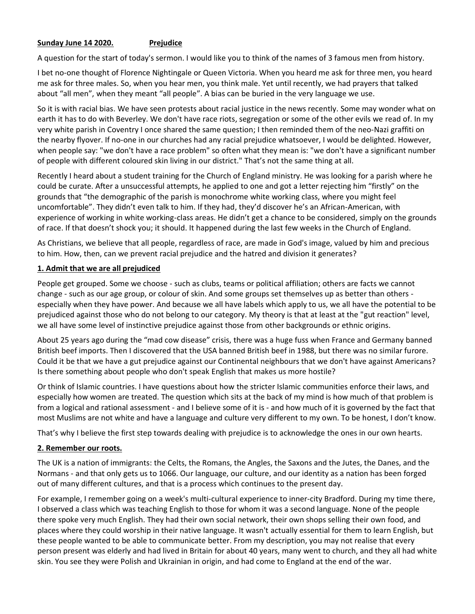## **Sunday June 14 2020. Prejudice**

A question for the start of today's sermon. I would like you to think of the names of 3 famous men from history.

I bet no-one thought of Florence Nightingale or Queen Victoria. When you heard me ask for three men, you heard me ask for three males. So, when you hear men, you think male. Yet until recently, we had prayers that talked about "all men", when they meant "all people". A bias can be buried in the very language we use.

So it is with racial bias. We have seen protests about racial justice in the news recently. Some may wonder what on earth it has to do with Beverley. We don't have race riots, segregation or some of the other evils we read of. In my very white parish in Coventry I once shared the same question; I then reminded them of the neo-Nazi graffiti on the nearby flyover. If no-one in our churches had any racial prejudice whatsoever, I would be delighted. However, when people say: "we don't have a race problem" so often what they mean is: "we don't have a significant number of people with different coloured skin living in our district." That's not the same thing at all.

Recently I heard about a student training for the Church of England ministry. He was looking for a parish where he could be curate. After a unsuccessful attempts, he applied to one and got a letter rejecting him "firstly" on the grounds that "the demographic of the parish is monochrome white working class, where you might feel uncomfortable". They didn't even talk to him. If they had, they'd discover he's an African-American, with experience of working in white working-class areas. He didn't get a chance to be considered, simply on the grounds of race. If that doesn't shock you; it should. It happened during the last few weeks in the Church of England.

As Christians, we believe that all people, regardless of race, are made in God's image, valued by him and precious to him. How, then, can we prevent racial prejudice and the hatred and division it generates?

## **1. Admit that we are all prejudiced**

People get grouped. Some we choose - such as clubs, teams or political affiliation; others are facts we cannot change - such as our age group, or colour of skin. And some groups set themselves up as better than others especially when they have power. And because we all have labels which apply to us, we all have the potential to be prejudiced against those who do not belong to our category. My theory is that at least at the "gut reaction" level, we all have some level of instinctive prejudice against those from other backgrounds or ethnic origins.

About 25 years ago during the "mad cow disease" crisis, there was a huge fuss when France and Germany banned British beef imports. Then I discovered that the USA banned British beef in 1988, but there was no similar furore. Could it be that we have a gut prejudice against our Continental neighbours that we don't have against Americans? Is there something about people who don't speak English that makes us more hostile?

Or think of Islamic countries. I have questions about how the stricter Islamic communities enforce their laws, and especially how women are treated. The question which sits at the back of my mind is how much of that problem is from a logical and rational assessment - and I believe some of it is - and how much of it is governed by the fact that most Muslims are not white and have a language and culture very different to my own. To be honest, I don't know.

That's why I believe the first step towards dealing with prejudice is to acknowledge the ones in our own hearts.

## **2. Remember our roots.**

The UK is a nation of immigrants: the Celts, the Romans, the Angles, the Saxons and the Jutes, the Danes, and the Normans - and that only gets us to 1066. Our language, our culture, and our identity as a nation has been forged out of many different cultures, and that is a process which continues to the present day.

For example, I remember going on a week's multi-cultural experience to inner-city Bradford. During my time there, I observed a class which was teaching English to those for whom it was a second language. None of the people there spoke very much English. They had their own social network, their own shops selling their own food, and places where they could worship in their native language. It wasn't actually essential for them to learn English, but these people wanted to be able to communicate better. From my description, you may not realise that every person present was elderly and had lived in Britain for about 40 years, many went to church, and they all had white skin. You see they were Polish and Ukrainian in origin, and had come to England at the end of the war.